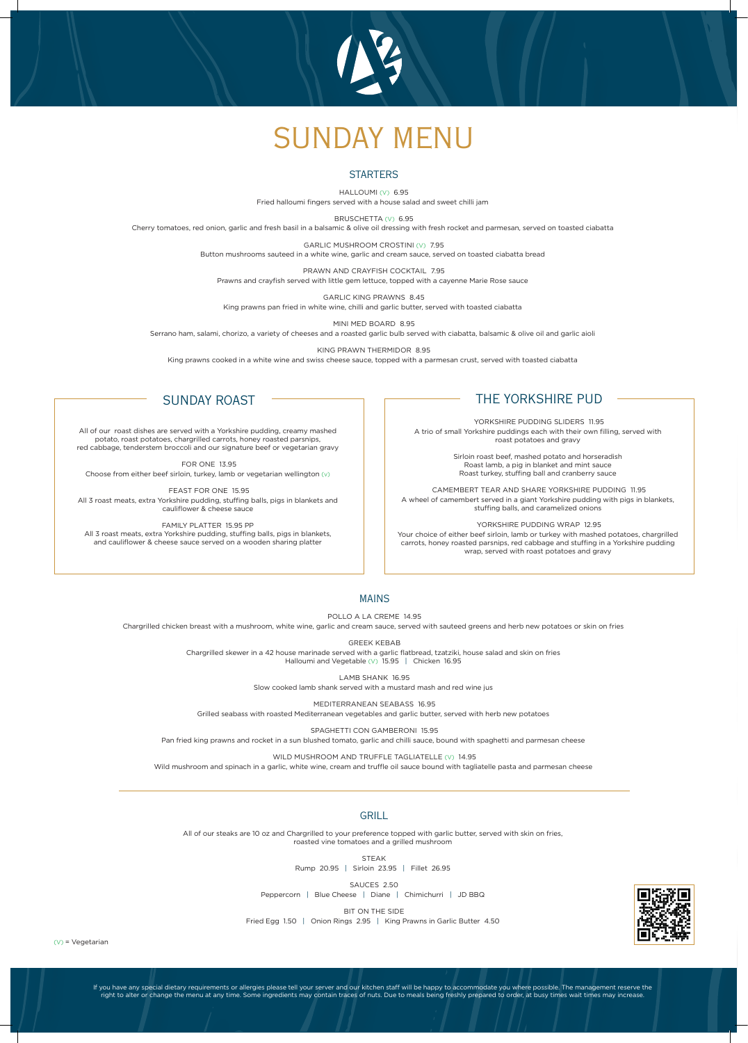

# SUNDAY MENU

#### **STARTERS**

If you have any special dietary requirements or allergies please tell your server and our kitchen staff will be happy to accommodate you where possible. The management reserve the right to alter or change the menu at any time. Some ingredients may contain traces of nuts. Due to meals being freshly prepared to order, at busy times wait times may increase.

HALLOUMI (V) 6.95 Fried halloumi fingers served with a house salad and sweet chilli jam

BRUSCHETTA (V) 6.95

Cherry tomatoes, red onion, garlic and fresh basil in a balsamic & olive oil dressing with fresh rocket and parmesan, served on toasted ciabatta

GARLIC MUSHROOM CROSTINI (V) 7.95 Button mushrooms sauteed in a white wine, garlic and cream sauce, served on toasted ciabatta bread

PRAWN AND CRAYFISH COCKTAIL 7.95 Prawns and crayfish served with little gem lettuce, topped with a cayenne Marie Rose sauce

GARLIC KING PRAWNS 8.45 King prawns pan fried in white wine, chilli and garlic butter, served with toasted ciabatta

MINI MED BOARD 8.95 Serrano ham, salami, chorizo, a variety of cheeses and a roasted garlic bulb served with ciabatta, balsamic & olive oil and garlic aioli

KING PRAWN THERMIDOR 8.95 King prawns cooked in a white wine and swiss cheese sauce, topped with a parmesan crust, served with toasted ciabatta

## SUNDAY ROAST

Chargrilled skewer in a 42 house marinade served with a garlic flatbread, tzatziki, house salad and skin on fries Halloumi and Vegetable (V) 15.95 | Chicken 16.95

All of our roast dishes are served with a Yorkshire pudding, creamy mashed potato, roast potatoes, chargrilled carrots, honey roasted parsnips, red cabbage, tenderstem broccoli and our signature beef or vegetarian gravy

FOR ONE 13.95 Choose from either beef sirloin, turkey, lamb or vegetarian wellington (v)

FEAST FOR ONE 15.95 All 3 roast meats, extra Yorkshire pudding, stuffing balls, pigs in blankets and cauliflower & cheese sauce

FAMILY PLATTER 15.95 PP All 3 roast meats, extra Yorkshire pudding, stuffing balls, pigs in blankets, and cauliflower & cheese sauce served on a wooden sharing platter

> SAUCES 2.50 Peppercorn | Blue Cheese | Diane | Chimichurri | JD BBQ

### THE YORKSHIRE PUD

YORKSHIRE PUDDING SLIDERS 11.95 A trio of small Yorkshire puddings each with their own filling, served with roast potatoes and gravy

> Sirloin roast beef, mashed potato and horseradish Roast lamb, a pig in blanket and mint sauce Roast turkey, stuffing ball and cranberry sauce

CAMEMBERT TEAR AND SHARE YORKSHIRE PUDDING 11.95 A wheel of camembert served in a giant Yorkshire pudding with pigs in blankets, stuffing balls, and caramelized onions

#### YORKSHIRE PUDDING WRAP 12.95

Your choice of either beef sirloin, lamb or turkey with mashed potatoes, chargrilled carrots, honey roasted parsnips, red cabbage and stuffing in a Yorkshire pudding wrap, served with roast potatoes and gravy

### MAINS

POLLO A LA CREME 14.95

Chargrilled chicken breast with a mushroom, white wine, garlic and cream sauce, served with sauteed greens and herb new potatoes or skin on fries

GREEK KEBAB

LAMB SHANK 16.95

Slow cooked lamb shank served with a mustard mash and red wine jus

MEDITERRANEAN SEABASS 16.95

Grilled seabass with roasted Mediterranean vegetables and garlic butter, served with herb new potatoes

SPAGHETTI CON GAMBERONI 15.95

Pan fried king prawns and rocket in a sun blushed tomato, garlic and chilli sauce, bound with spaghetti and parmesan cheese

WILD MUSHROOM AND TRUFFLE TAGLIATELLE (V) 14.95

Wild mushroom and spinach in a garlic, white wine, cream and truffle oil sauce bound with tagliatelle pasta and parmesan cheese

#### GRILL

All of our steaks are 10 oz and Chargrilled to your preference topped with garlic butter, served with skin on fries, roasted vine tomatoes and a grilled mushroom

> STEAK Rump 20.95 | Sirloin 23.95 | Fillet 26.95

BIT ON THE SIDE Fried Egg 1.50 | Onion Rings 2.95 | King Prawns in Garlic Butter 4.50



(V) = Vegetarian